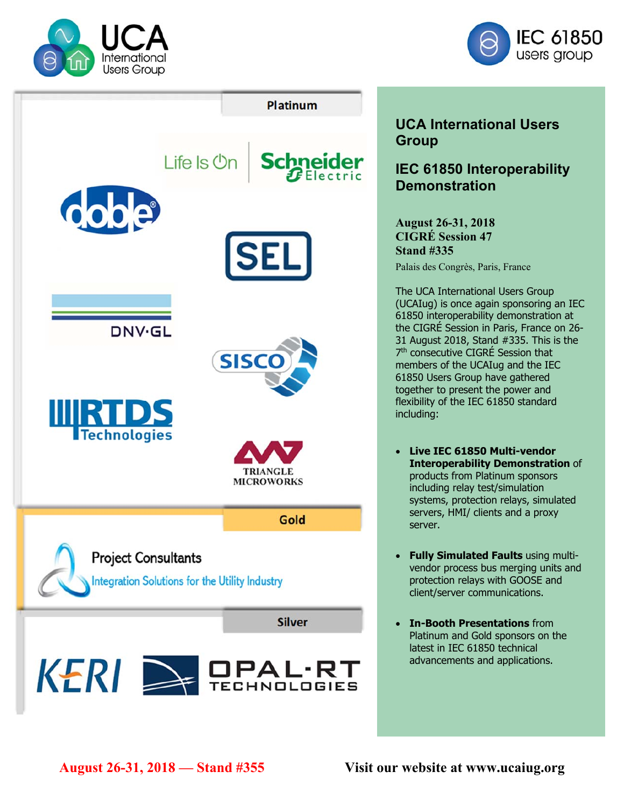